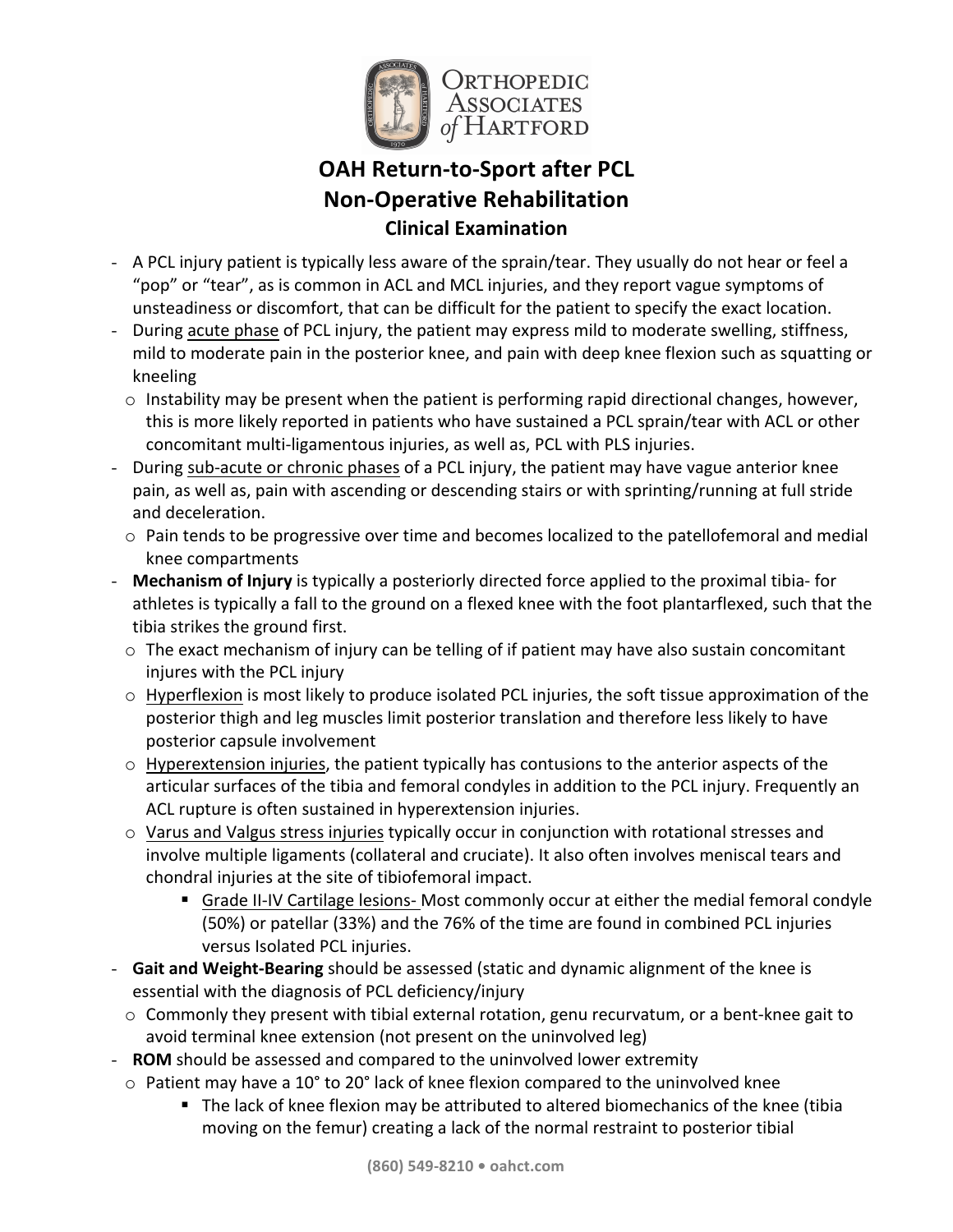

# **OAH Return-to-Sport after PCL Non-Operative Rehabilitation Clinical Examination**

- A PCL injury patient is typically less aware of the sprain/tear. They usually do not hear or feel a "pop" or "tear", as is common in ACL and MCL injuries, and they report vague symptoms of unsteadiness or discomfort, that can be difficult for the patient to specify the exact location.
- During acute phase of PCL injury, the patient may express mild to moderate swelling, stiffness, mild to moderate pain in the posterior knee, and pain with deep knee flexion such as squatting or kneeling
	- $\circ$  Instability may be present when the patient is performing rapid directional changes, however, this is more likely reported in patients who have sustained a PCL sprain/tear with ACL or other concomitant multi-ligamentous injuries, as well as, PCL with PLS injuries.
- During sub-acute or chronic phases of a PCL injury, the patient may have vague anterior knee pain, as well as, pain with ascending or descending stairs or with sprinting/running at full stride and deceleration.
	- $\circ$  Pain tends to be progressive over time and becomes localized to the patellofemoral and medial knee compartments
- **Mechanism of Injury** is typically a posteriorly directed force applied to the proximal tibia- for athletes is typically a fall to the ground on a flexed knee with the foot plantarflexed, such that the tibia strikes the ground first.
	- $\circ$  The exact mechanism of injury can be telling of if patient may have also sustain concomitant injures with the PCL injury
	- $\circ$  Hyperflexion is most likely to produce isolated PCL injuries, the soft tissue approximation of the posterior thigh and leg muscles limit posterior translation and therefore less likely to have posterior capsule involvement
	- $\circ$  Hyperextension injuries, the patient typically has contusions to the anterior aspects of the articular surfaces of the tibia and femoral condyles in addition to the PCL injury. Frequently an ACL rupture is often sustained in hyperextension injuries.
	- $\circ$  Varus and Valgus stress injuries typically occur in conjunction with rotational stresses and involve multiple ligaments (collateral and cruciate). It also often involves meniscal tears and chondral injuries at the site of tibiofemoral impact.
		- Grade II-IV Cartilage lesions- Most commonly occur at either the medial femoral condyle (50%) or patellar (33%) and the 76% of the time are found in combined PCL injuries versus Isolated PCL injuries.
- Gait and Weight-Bearing should be assessed (static and dynamic alignment of the knee is essential with the diagnosis of PCL deficiency/injury
	- $\circ$  Commonly they present with tibial external rotation, genu recurvatum, or a bent-knee gait to avoid terminal knee extension (not present on the uninvolved leg)
- **ROM** should be assessed and compared to the uninvolved lower extremity
- $\circ$  Patient may have a 10° to 20° lack of knee flexion compared to the uninvolved knee
	- The lack of knee flexion may be attributed to altered biomechanics of the knee (tibia moving on the femur) creating a lack of the normal restraint to posterior tibial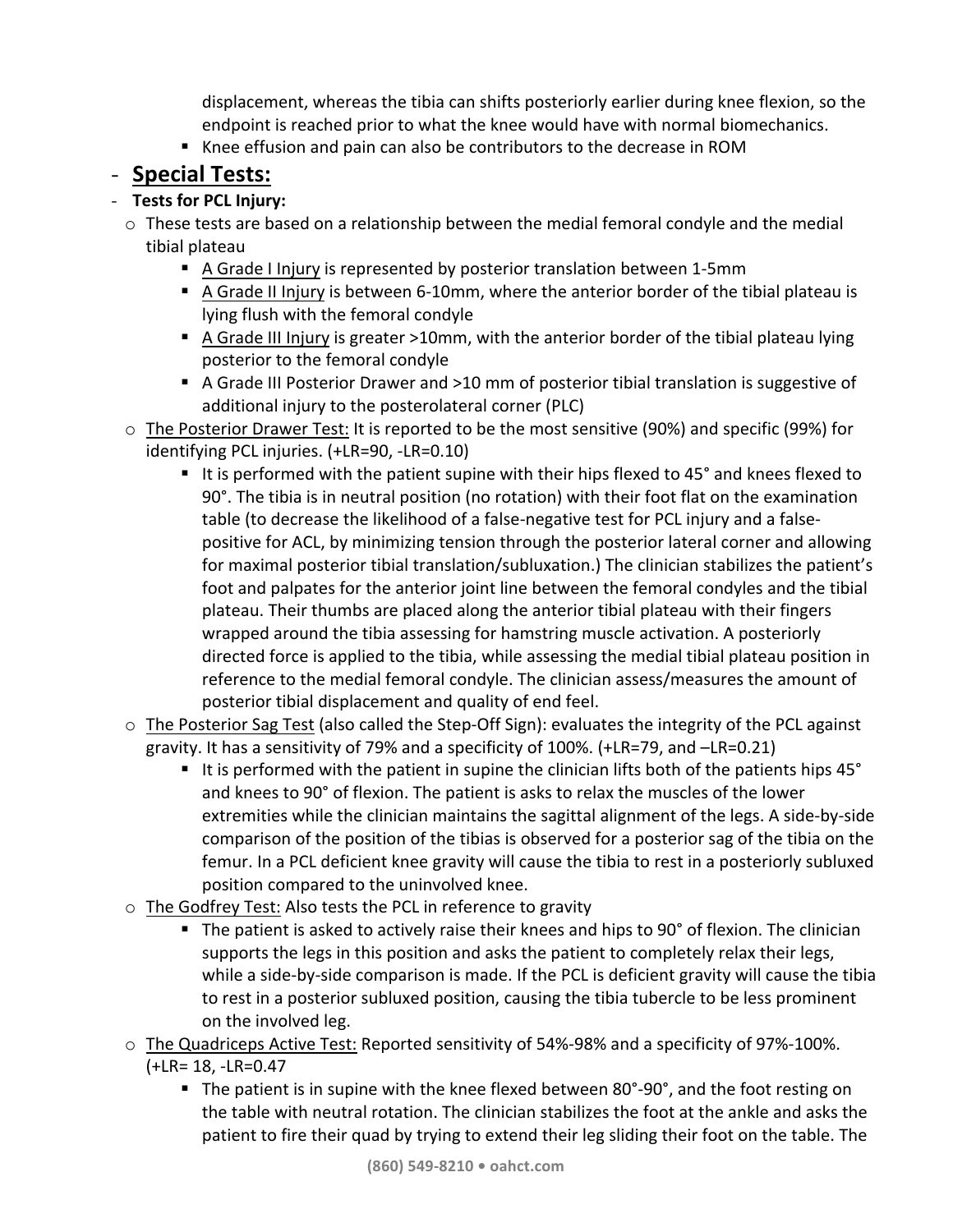displacement, whereas the tibia can shifts posteriorly earlier during knee flexion, so the endpoint is reached prior to what the knee would have with normal biomechanics.

■ Knee effusion and pain can also be contributors to the decrease in ROM

# - **Special Tests:**

# - **Tests for PCL Injury:**

- $\circ$  These tests are based on a relationship between the medial femoral condyle and the medial tibial plateau
	- A Grade I Injury is represented by posterior translation between 1-5mm
	- A Grade II Injury is between 6-10mm, where the anterior border of the tibial plateau is lying flush with the femoral condyle
	- A Grade III Injury is greater >10mm, with the anterior border of the tibial plateau lying posterior to the femoral condyle
	- A Grade III Posterior Drawer and >10 mm of posterior tibial translation is suggestive of additional injury to the posterolateral corner (PLC)
- o The Posterior Drawer Test: It is reported to be the most sensitive (90%) and specific (99%) for identifying PCL injuries. (+LR=90, -LR=0.10)
	- It is performed with the patient supine with their hips flexed to  $45^\circ$  and knees flexed to 90°. The tibia is in neutral position (no rotation) with their foot flat on the examination table (to decrease the likelihood of a false-negative test for PCL injury and a falsepositive for ACL, by minimizing tension through the posterior lateral corner and allowing for maximal posterior tibial translation/subluxation.) The clinician stabilizes the patient's foot and palpates for the anterior joint line between the femoral condyles and the tibial plateau. Their thumbs are placed along the anterior tibial plateau with their fingers wrapped around the tibia assessing for hamstring muscle activation. A posteriorly directed force is applied to the tibia, while assessing the medial tibial plateau position in reference to the medial femoral condyle. The clinician assess/measures the amount of posterior tibial displacement and quality of end feel.
- $\circ$  The Posterior Sag Test (also called the Step-Off Sign): evaluates the integrity of the PCL against gravity. It has a sensitivity of 79% and a specificity of 100%.  $(+LR=79,$  and  $-LR=0.21)$ 
	- **E** It is performed with the patient in supine the clinician lifts both of the patients hips 45 $^{\circ}$ and knees to 90° of flexion. The patient is asks to relax the muscles of the lower extremities while the clinician maintains the sagittal alignment of the legs. A side-by-side comparison of the position of the tibias is observed for a posterior sag of the tibia on the femur. In a PCL deficient knee gravity will cause the tibia to rest in a posteriorly subluxed position compared to the uninvolved knee.
- $\circ$  The Godfrey Test: Also tests the PCL in reference to gravity
	- **•** The patient is asked to actively raise their knees and hips to 90° of flexion. The clinician supports the legs in this position and asks the patient to completely relax their legs, while a side-by-side comparison is made. If the PCL is deficient gravity will cause the tibia to rest in a posterior subluxed position, causing the tibia tubercle to be less prominent on the involved leg.
- o The Quadriceps Active Test: Reported sensitivity of 54%-98% and a specificity of 97%-100%. (+LR= 18, -LR=0.47
	- **•** The patient is in supine with the knee flexed between  $80^\circ$ -90°, and the foot resting on the table with neutral rotation. The clinician stabilizes the foot at the ankle and asks the patient to fire their quad by trying to extend their leg sliding their foot on the table. The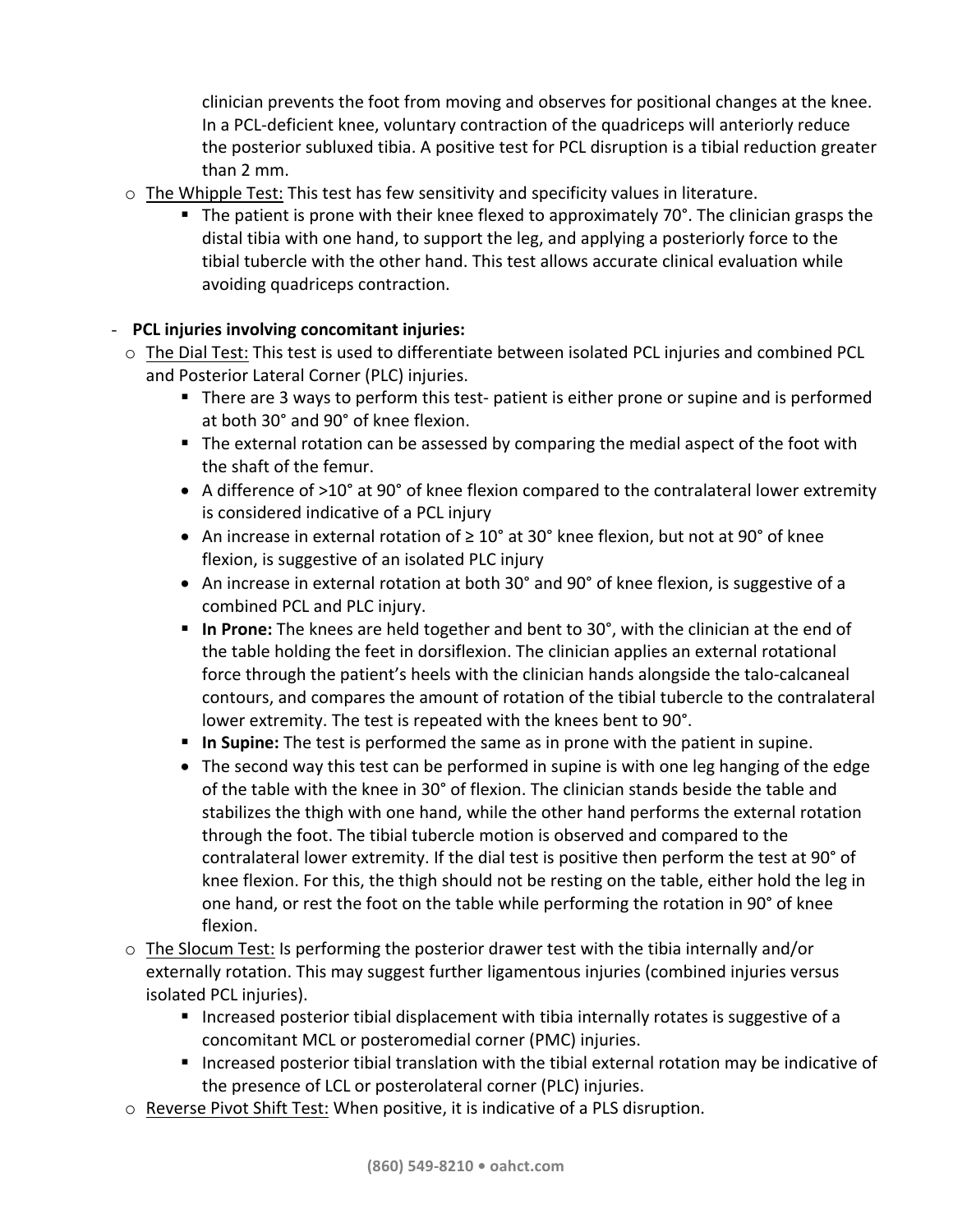clinician prevents the foot from moving and observes for positional changes at the knee. In a PCL-deficient knee, voluntary contraction of the quadriceps will anteriorly reduce the posterior subluxed tibia. A positive test for PCL disruption is a tibial reduction greater than 2 mm.

- $\circ$  The Whipple Test: This test has few sensitivity and specificity values in literature.
	- **The patient is prone with their knee flexed to approximately 70°. The clinician grasps the** distal tibia with one hand, to support the leg, and applying a posteriorly force to the tibial tubercle with the other hand. This test allows accurate clinical evaluation while avoiding quadriceps contraction.

# **-** PCL injuries involving concomitant injuries:

- $\circ$  The Dial Test: This test is used to differentiate between isolated PCL injuries and combined PCL and Posterior Lateral Corner (PLC) injuries.
	- There are 3 ways to perform this test- patient is either prone or supine and is performed at both 30° and 90° of knee flexion.
	- The external rotation can be assessed by comparing the medial aspect of the foot with the shaft of the femur.
	- A difference of >10° at 90° of knee flexion compared to the contralateral lower extremity is considered indicative of a PCL injury
	- An increase in external rotation of  $\geq 10^{\circ}$  at 30° knee flexion, but not at 90° of knee flexion, is suggestive of an isolated PLC injury
	- An increase in external rotation at both 30° and 90° of knee flexion, is suggestive of a combined PCL and PLC injury.
	- **In Prone:** The knees are held together and bent to 30°, with the clinician at the end of the table holding the feet in dorsiflexion. The clinician applies an external rotational force through the patient's heels with the clinician hands alongside the talo-calcaneal contours, and compares the amount of rotation of the tibial tubercle to the contralateral lower extremity. The test is repeated with the knees bent to 90°.
	- **In Supine:** The test is performed the same as in prone with the patient in supine.
	- The second way this test can be performed in supine is with one leg hanging of the edge of the table with the knee in 30° of flexion. The clinician stands beside the table and stabilizes the thigh with one hand, while the other hand performs the external rotation through the foot. The tibial tubercle motion is observed and compared to the contralateral lower extremity. If the dial test is positive then perform the test at 90° of knee flexion. For this, the thigh should not be resting on the table, either hold the leg in one hand, or rest the foot on the table while performing the rotation in 90° of knee flexion.
- $\circ$  The Slocum Test: Is performing the posterior drawer test with the tibia internally and/or externally rotation. This may suggest further ligamentous injuries (combined injuries versus isolated PCL injuries).
	- Increased posterior tibial displacement with tibia internally rotates is suggestive of a concomitant MCL or posteromedial corner (PMC) injuries.
	- Increased posterior tibial translation with the tibial external rotation may be indicative of the presence of LCL or posterolateral corner (PLC) injuries.
- $\circ$  Reverse Pivot Shift Test: When positive, it is indicative of a PLS disruption.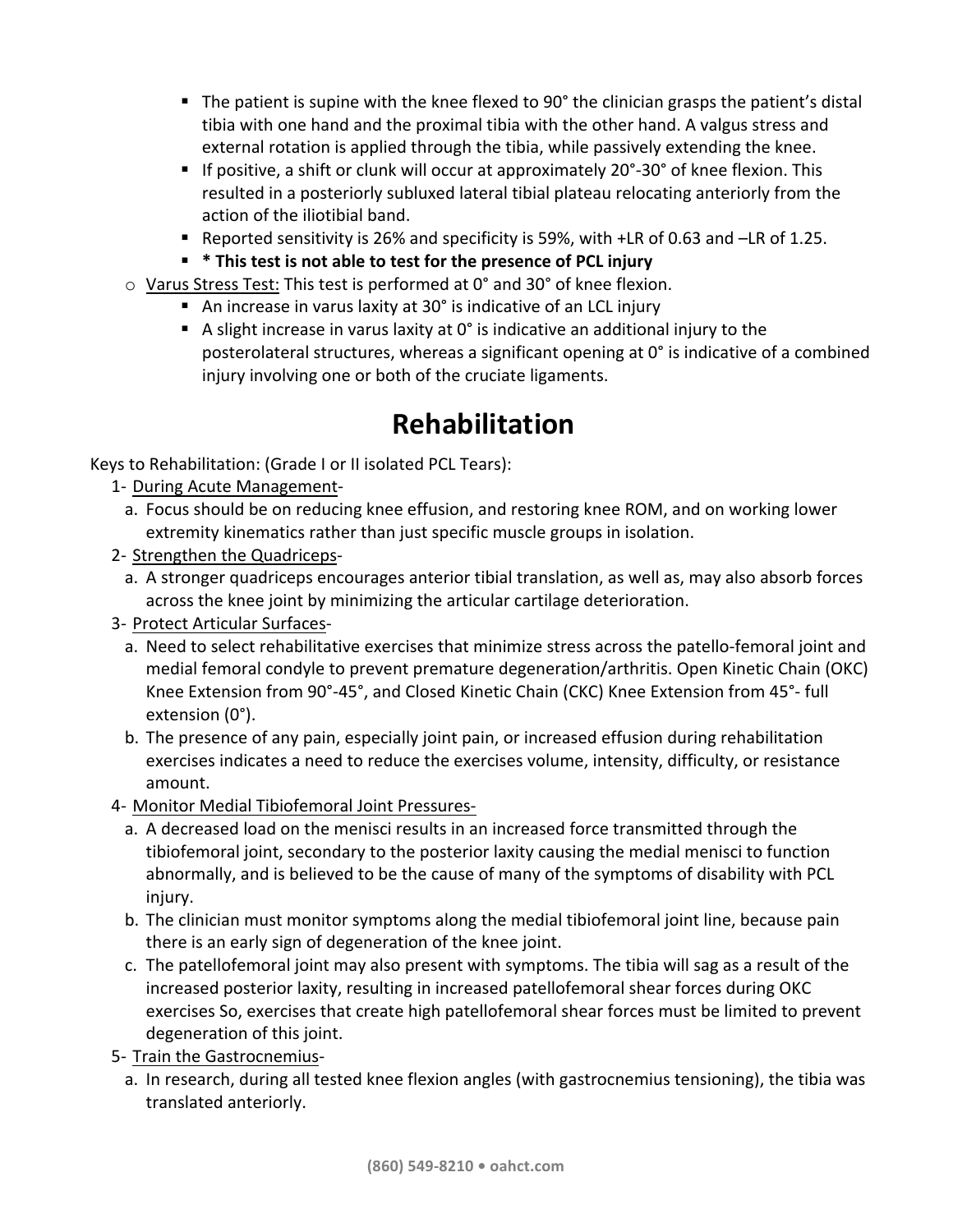- **The patient is supine with the knee flexed to 90° the clinician grasps the patient's distal** tibia with one hand and the proximal tibia with the other hand. A valgus stress and external rotation is applied through the tibia, while passively extending the knee.
- **•** If positive, a shift or clunk will occur at approximately  $20^\circ$ -30° of knee flexion. This resulted in a posteriorly subluxed lateral tibial plateau relocating anteriorly from the action of the iliotibial band.
- Reported sensitivity is 26% and specificity is 59%, with +LR of 0.63 and -LR of 1.25.
- $*$  **This test is not able to test for the presence of PCL injury**
- $\circ$  Varus Stress Test: This test is performed at 0° and 30° of knee flexion.
	- An increase in varus laxity at  $30^\circ$  is indicative of an LCL injury
	- A slight increase in varus laxity at  $0^\circ$  is indicative an additional injury to the posterolateral structures, whereas a significant opening at  $0^\circ$  is indicative of a combined injury involving one or both of the cruciate ligaments.

# **Rehabilitation**

Keys to Rehabilitation: (Grade I or II isolated PCL Tears):

- 1- During Acute Management
	- a. Focus should be on reducing knee effusion, and restoring knee ROM, and on working lower extremity kinematics rather than just specific muscle groups in isolation.
- 2- Strengthen the Quadriceps
	- a. A stronger quadriceps encourages anterior tibial translation, as well as, may also absorb forces across the knee joint by minimizing the articular cartilage deterioration.
- 3- Protect Articular Surfaces
	- a. Need to select rehabilitative exercises that minimize stress across the patello-femoral joint and medial femoral condyle to prevent premature degeneration/arthritis. Open Kinetic Chain (OKC) Knee Extension from 90°-45°, and Closed Kinetic Chain (CKC) Knee Extension from 45°- full extension (0°).
	- b. The presence of any pain, especially joint pain, or increased effusion during rehabilitation exercises indicates a need to reduce the exercises volume, intensity, difficulty, or resistance amount.
- 4- Monitor Medial Tibiofemoral Joint Pressures
	- a. A decreased load on the menisci results in an increased force transmitted through the tibiofemoral joint, secondary to the posterior laxity causing the medial menisci to function abnormally, and is believed to be the cause of many of the symptoms of disability with PCL injury.
	- b. The clinician must monitor symptoms along the medial tibiofemoral joint line, because pain there is an early sign of degeneration of the knee joint.
	- c. The patellofemoral joint may also present with symptoms. The tibia will sag as a result of the increased posterior laxity, resulting in increased patellofemoral shear forces during OKC exercises So, exercises that create high patellofemoral shear forces must be limited to prevent degeneration of this joint.
- 5- Train the Gastrocnemius
	- a. In research, during all tested knee flexion angles (with gastrocnemius tensioning), the tibia was translated anteriorly.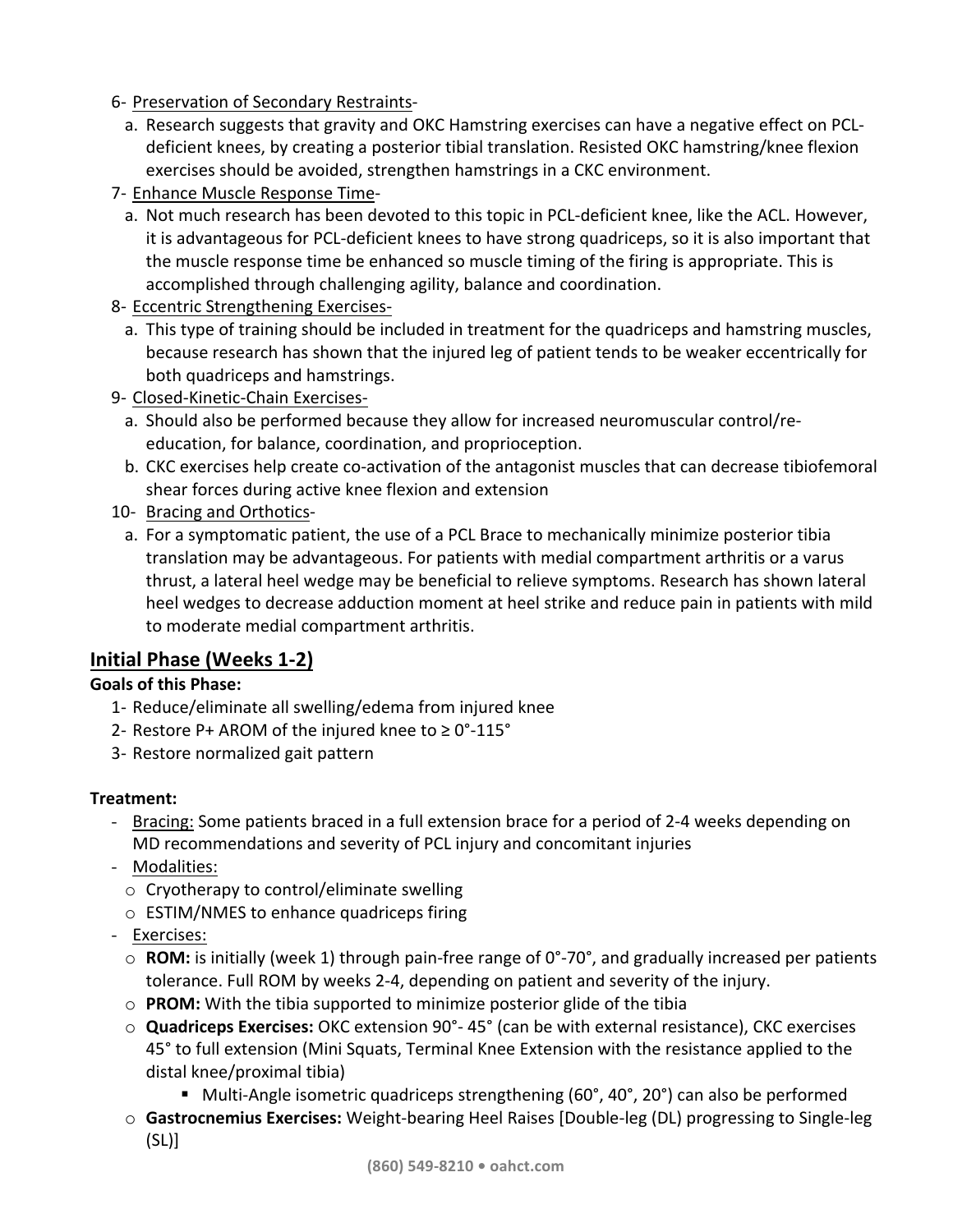6- Preservation of Secondary Restraints-

- a. Research suggests that gravity and OKC Hamstring exercises can have a negative effect on PCLdeficient knees, by creating a posterior tibial translation. Resisted OKC hamstring/knee flexion exercises should be avoided, strengthen hamstrings in a CKC environment.
- 7- Enhance Muscle Response Time
	- a. Not much research has been devoted to this topic in PCL-deficient knee, like the ACL. However, it is advantageous for PCL-deficient knees to have strong quadriceps, so it is also important that the muscle response time be enhanced so muscle timing of the firing is appropriate. This is accomplished through challenging agility, balance and coordination.
- 8- Eccentric Strengthening Exercises
	- a. This type of training should be included in treatment for the quadriceps and hamstring muscles, because research has shown that the injured leg of patient tends to be weaker eccentrically for both quadriceps and hamstrings.
- 9- Closed-Kinetic-Chain Exercises
	- a. Should also be performed because they allow for increased neuromuscular control/reeducation, for balance, coordination, and proprioception.
	- b. CKC exercises help create co-activation of the antagonist muscles that can decrease tibiofemoral shear forces during active knee flexion and extension
- 10- Bracing and Orthotics
	- a. For a symptomatic patient, the use of a PCL Brace to mechanically minimize posterior tibia translation may be advantageous. For patients with medial compartment arthritis or a varus thrust, a lateral heel wedge may be beneficial to relieve symptoms. Research has shown lateral heel wedges to decrease adduction moment at heel strike and reduce pain in patients with mild to moderate medial compartment arthritis.

# **Initial Phase (Weeks 1-2)**

#### **Goals of this Phase:**

- 1- Reduce/eliminate all swelling/edema from injured knee
- 2- Restore P+ AROM of the injured knee to  $\geq 0^{\circ}$ -115°
- 3- Restore normalized gait pattern

#### **Treatment:**

- Bracing: Some patients braced in a full extension brace for a period of 2-4 weeks depending on MD recommendations and severity of PCL injury and concomitant injuries
- Modalities:
	- $\circ$  Cryotherapy to control/eliminate swelling
	- $\circ$  ESTIM/NMES to enhance quadriceps firing
- Exercises:
	- $\circ$  **ROM:** is initially (week 1) through pain-free range of 0°-70°, and gradually increased per patients tolerance. Full ROM by weeks 2-4, depending on patient and severity of the injury.
	- o **PROM:** With the tibia supported to minimize posterior glide of the tibia
	- **Quadriceps Exercises:** OKC extension 90°- 45° (can be with external resistance), CKC exercises 45° to full extension (Mini Squats, Terminal Knee Extension with the resistance applied to the distal knee/proximal tibia)
		- Multi-Angle isometric quadriceps strengthening  $(60^\circ, 40^\circ, 20^\circ)$  can also be performed
	- $\circ$  **Gastrocnemius Exercises:** Weight-bearing Heel Raises [Double-leg (DL) progressing to Single-leg (SL)]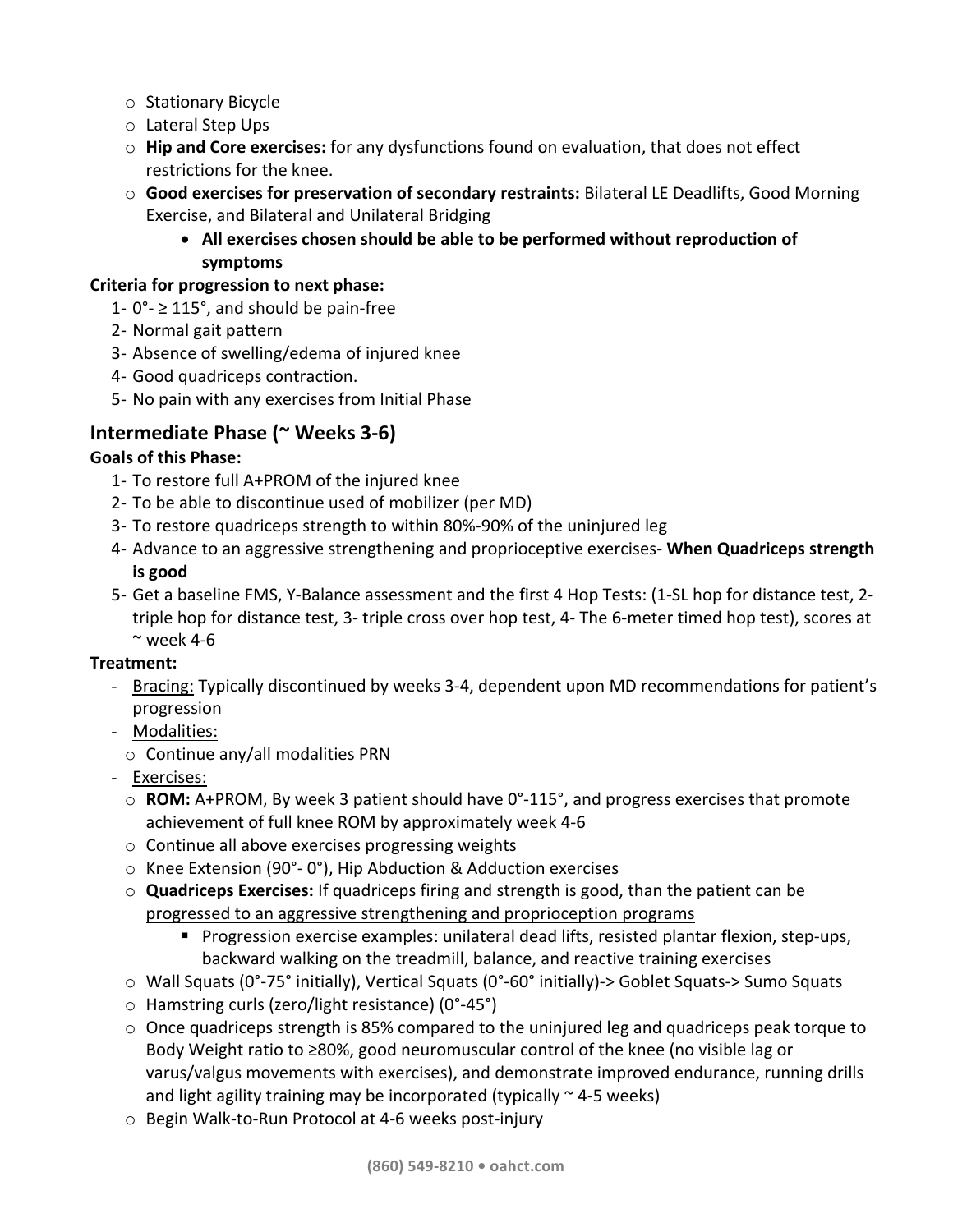- o Stationary Bicycle
- o Lateral Step Ups
- $\circ$  **Hip and Core exercises:** for any dysfunctions found on evaluation, that does not effect restrictions for the knee.
- $\circ$  **Good exercises for preservation of secondary restraints:** Bilateral LE Deadlifts, Good Morning Exercise, and Bilateral and Unilateral Bridging
	- All exercises chosen should be able to be performed without reproduction of **symptoms**

#### **Criteria for progression to next phase:**

- 1-  $0^\circ$   $\geq$  115°, and should be pain-free
- 2- Normal gait pattern
- 3- Absence of swelling/edema of injured knee
- 4- Good quadriceps contraction.
- 5- No pain with any exercises from Initial Phase

# **Intermediate Phase (~ Weeks 3-6)**

#### **Goals of this Phase:**

- 1- To restore full A+PROM of the injured knee
- 2- To be able to discontinue used of mobilizer (per MD)
- 3- To restore quadriceps strength to within 80%-90% of the uninjured leg
- 4- Advance to an aggressive strengthening and proprioceptive exercises- **When Quadriceps strength is good**
- 5- Get a baseline FMS, Y-Balance assessment and the first 4 Hop Tests: (1-SL hop for distance test, 2triple hop for distance test, 3- triple cross over hop test, 4- The 6-meter timed hop test), scores at  $\sim$  week 4-6

#### **Treatment:**

- Bracing: Typically discontinued by weeks 3-4, dependent upon MD recommendations for patient's progression
- Modalities:
	- $\circ$  Continue any/all modalities PRN
- Exercises:
	- **ROM:** A+PROM, By week 3 patient should have 0°-115°, and progress exercises that promote achievement of full knee ROM by approximately week 4-6
	- $\circ$  Continue all above exercises progressing weights
	- $\circ$  Knee Extension (90°-0°), Hip Abduction & Adduction exercises
	- $\circ$  **Quadriceps Exercises:** If quadriceps firing and strength is good, than the patient can be progressed to an aggressive strengthening and proprioception programs
		- Progression exercise examples: unilateral dead lifts, resisted plantar flexion, step-ups, backward walking on the treadmill, balance, and reactive training exercises
	- $\circ$  Wall Squats (0°-75° initially), Vertical Squats (0°-60° initially)-> Goblet Squats-> Sumo Squats
	- $\circ$  Hamstring curls (zero/light resistance) (0°-45°)
	- $\circ$  Once quadriceps strength is 85% compared to the uninjured leg and quadriceps peak torque to Body Weight ratio to  $\geq$ 80%, good neuromuscular control of the knee (no visible lag or varus/valgus movements with exercises), and demonstrate improved endurance, running drills and light agility training may be incorporated (typically  $\sim$  4-5 weeks)
	- $\circ$  Begin Walk-to-Run Protocol at 4-6 weeks post-injury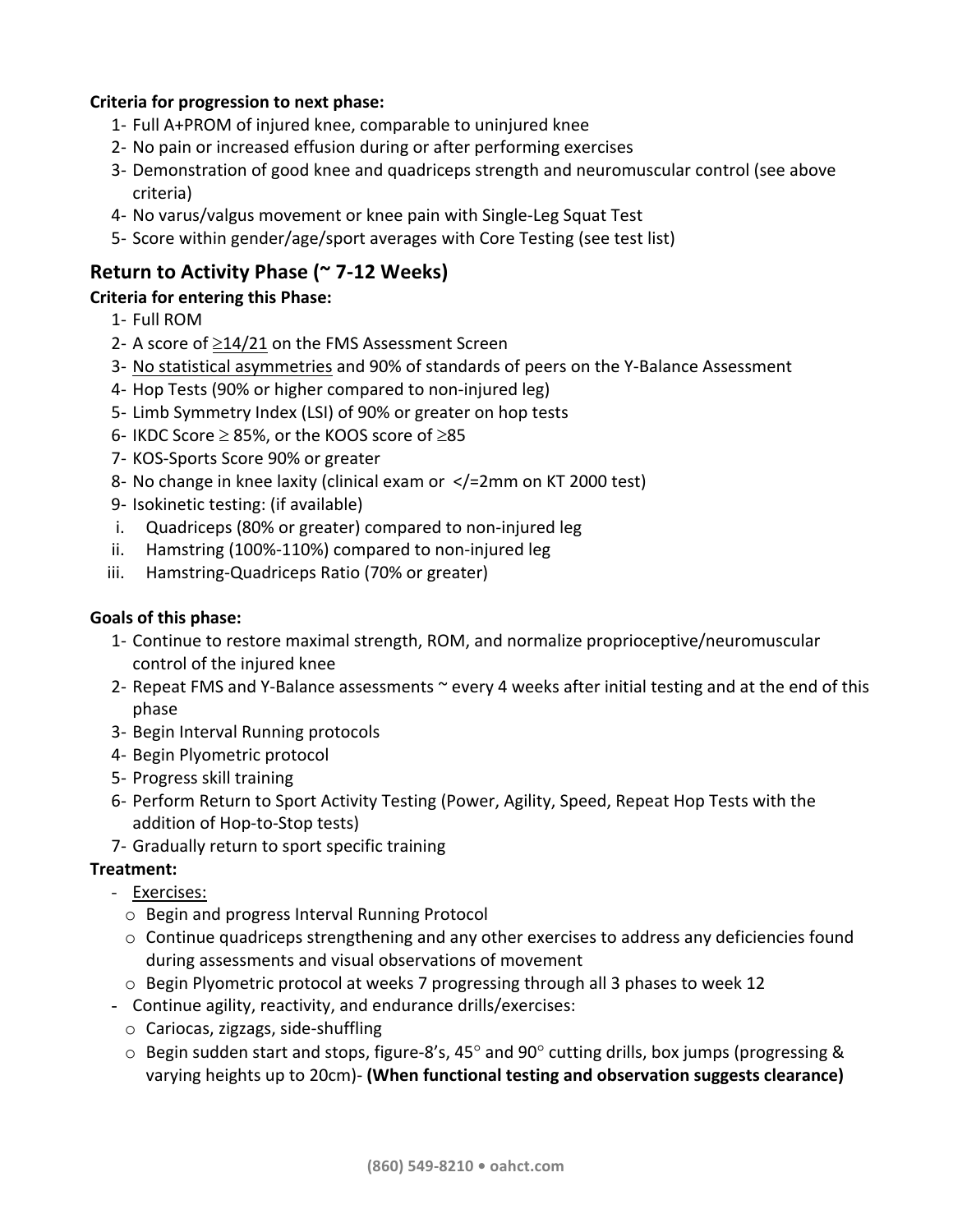#### **Criteria for progression to next phase:**

- 1- Full A+PROM of injured knee, comparable to uninjured knee
- 2- No pain or increased effusion during or after performing exercises
- 3- Demonstration of good knee and quadriceps strength and neuromuscular control (see above criteria)
- 4- No varus/valgus movement or knee pain with Single-Leg Squat Test
- 5- Score within gender/age/sport averages with Core Testing (see test list)

# **Return to Activity Phase (~ 7-12 Weeks)**

### **Criteria for entering this Phase:**

- 1- Full ROM
- 2- A score of  $\geq$ 14/21 on the FMS Assessment Screen
- 3- No statistical asymmetries and 90% of standards of peers on the Y-Balance Assessment
- 4- Hop Tests (90% or higher compared to non-injured leg)
- 5- Limb Symmetry Index (LSI) of 90% or greater on hop tests
- 6- IKDC Score  $\geq$  85%, or the KOOS score of  $\geq$ 85
- 7- KOS-Sports Score 90% or greater
- 8- No change in knee laxity (clinical exam or  $\lt/=2$ mm on KT 2000 test)
- 9- Isokinetic testing: (if available)
- i. Quadriceps (80% or greater) compared to non-injured leg
- ii. Hamstring  $(100\% 110\%)$  compared to non-injured  $leg$
- iii. Hamstring-Quadriceps Ratio (70% or greater)

#### Goals of this phase:

- 1- Continue to restore maximal strength, ROM, and normalize proprioceptive/neuromuscular control of the injured knee
- 2- Repeat FMS and Y-Balance assessments  $\sim$  every 4 weeks after initial testing and at the end of this phase
- 3- Begin Interval Running protocols
- 4- Begin Plyometric protocol
- 5- Progress skill training
- 6- Perform Return to Sport Activity Testing (Power, Agility, Speed, Repeat Hop Tests with the addition of Hop-to-Stop tests)
- 7- Gradually return to sport specific training

## **Treatment:**

## - Exercises:

- $\circ$  Begin and progress Interval Running Protocol
- $\circ$  Continue quadriceps strengthening and any other exercises to address any deficiencies found during assessments and visual observations of movement
- $\circ$  Begin Plyometric protocol at weeks 7 progressing through all 3 phases to week 12
- Continue agility, reactivity, and endurance drills/exercises:
	- $\circ$  Cariocas, zigzags, side-shuffling
	- $\circ$  Begin sudden start and stops, figure-8's, 45° and 90° cutting drills, box jumps (progressing & varying heights up to 20cm)- (When functional testing and observation suggests clearance)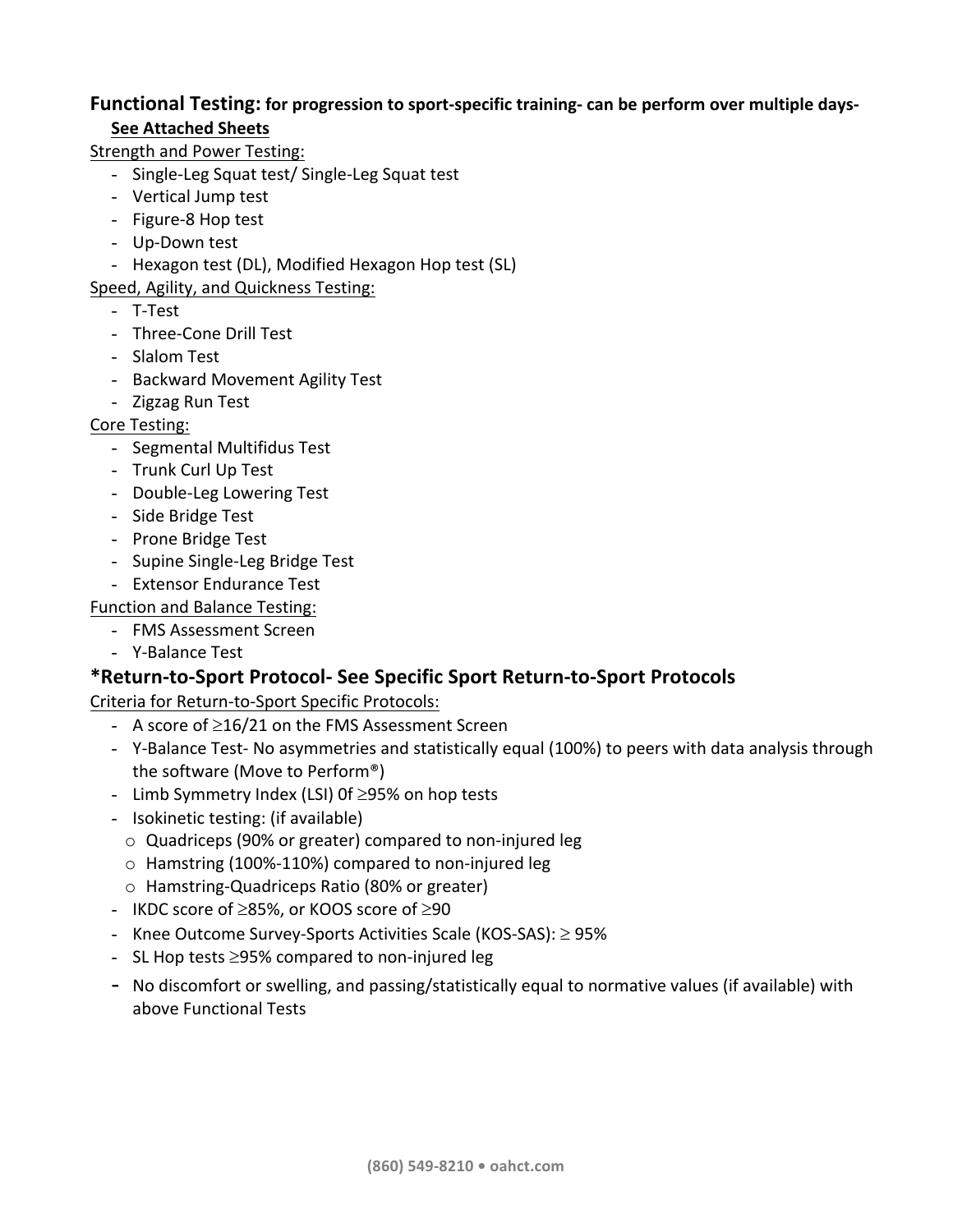## **Functional Testing:** for progression to sport-specific training- can be perform over multiple days-**See Attached Sheets**

Strength and Power Testing:

- Single-Leg Squat test/ Single-Leg Squat test
- Vertical Jump test
- Figure-8 Hop test
- Up-Down test
- Hexagon test (DL), Modified Hexagon Hop test (SL)

Speed, Agility, and Quickness Testing:

- T-Test
- Three-Cone Drill Test
- Slalom Test
- Backward Movement Agility Test
- Zigzag Run Test

#### Core Testing:

- Segmental Multifidus Test
- Trunk Curl Up Test
- Double-Leg Lowering Test
- Side Bridge Test
- Prone Bridge Test
- Supine Single-Leg Bridge Test
- Extensor Endurance Test

#### Function and Balance Testing:

- FMS Assessment Screen
- Y-Balance Test

## **\*Return-to-Sport Protocol- See Specific Sport Return-to-Sport Protocols**

Criteria for Return-to-Sport Specific Protocols:

- A score of  $\geq$ 16/21 on the FMS Assessment Screen
- Y-Balance Test- No asymmetries and statistically equal (100%) to peers with data analysis through the software (Move to Perform®)
- Limb Symmetry Index (LSI) Of  $\geq$ 95% on hop tests
- Isokinetic testing: (if available)
	- $\circ$  Quadriceps (90% or greater) compared to non-injured leg
	- $\circ$  Hamstring (100%-110%) compared to non-injured leg
	- o Hamstring-Quadriceps Ratio (80% or greater)
- IKDC score of  $\geq$ 85%, or KOOS score of  $\geq$ 90
- Knee Outcome Survey-Sports Activities Scale (KOS-SAS):  $\geq$  95%
- SL Hop tests  $\geq$ 95% compared to non-injured leg
- No discomfort or swelling, and passing/statistically equal to normative values (if available) with above Functional Tests